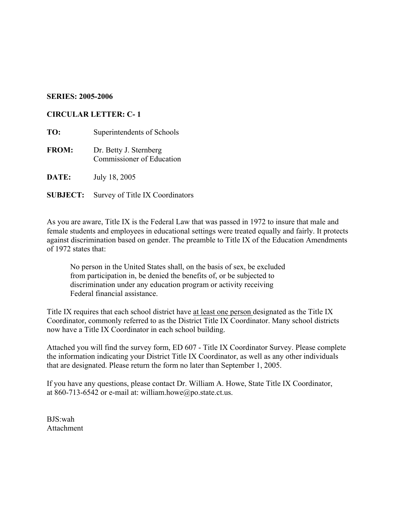## **SERIES: 2005-2006**

## **CIRCULAR LETTER: C- 1**

| TO:             | Superintendents of Schools                          |
|-----------------|-----------------------------------------------------|
| <b>FROM:</b>    | Dr. Betty J. Sternberg<br>Commissioner of Education |
| DATE:           | July 18, 2005                                       |
| <b>SUBJECT:</b> | Survey of Title IX Coordinators                     |

As you are aware, Title IX is the Federal Law that was passed in 1972 to insure that male and female students and employees in educational settings were treated equally and fairly. It protects against discrimination based on gender. The preamble to Title IX of the Education Amendments of 1972 states that:

No person in the United States shall, on the basis of sex, be excluded from participation in, be denied the benefits of, or be subjected to discrimination under any education program or activity receiving Federal financial assistance.

Title IX requires that each school district have at least one person designated as the Title IX Coordinator, commonly referred to as the District Title IX Coordinator. Many school districts now have a Title IX Coordinator in each school building.

Attached you will find the survey form, ED 607 - Title IX Coordinator Survey. Please complete the information indicating your District Title IX Coordinator, as well as any other individuals that are designated. Please return the form no later than September 1, 2005.

If you have any questions, please contact Dr. William A. Howe, State Title IX Coordinator, at 860-713-6542 or e-mail at: william.howe@po.state.ct.us.

BJS:wah Attachment